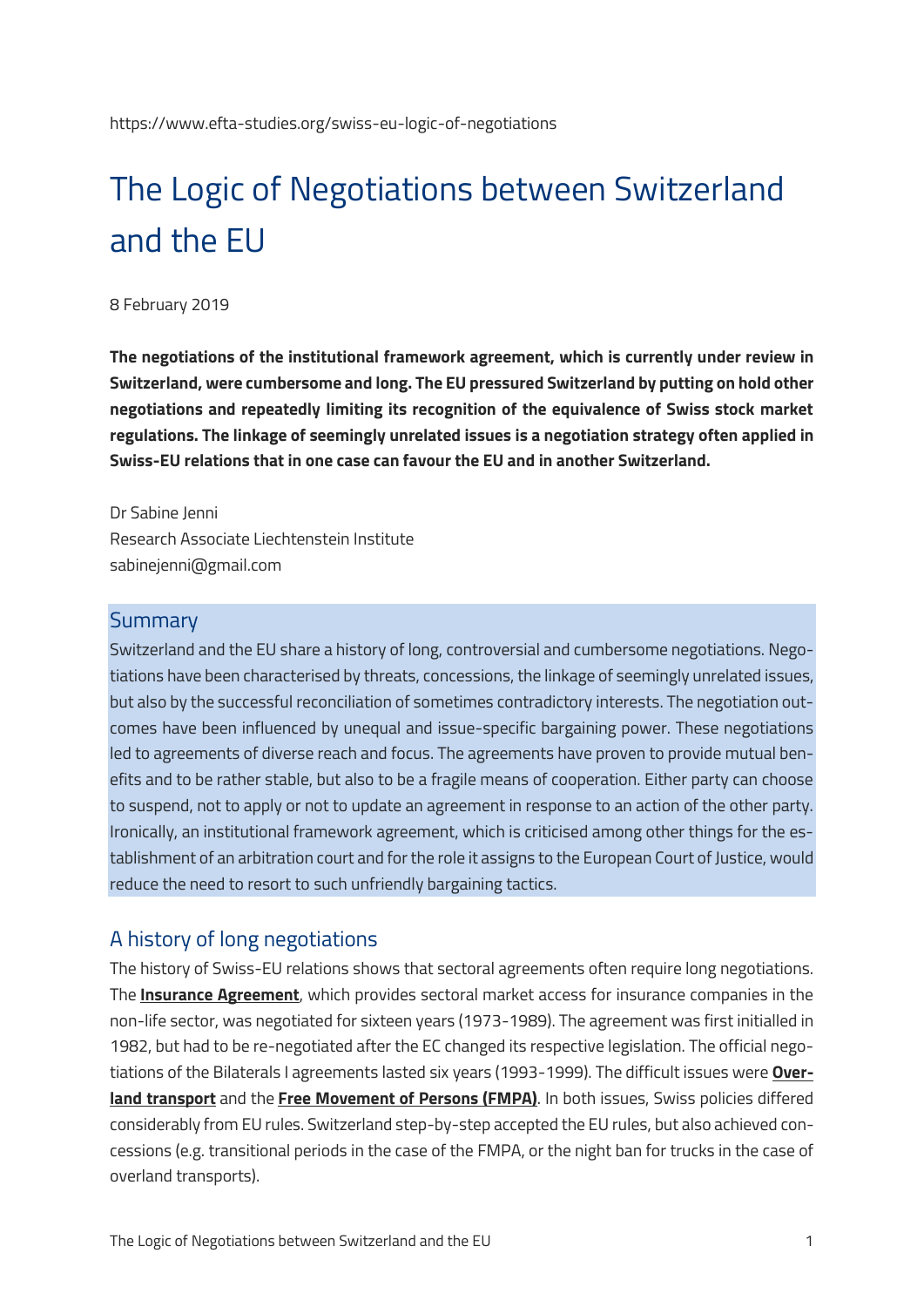# The Logic of Negotiations between Switzerland and the EU

#### 8 February 2019

**The negotiations of the institutional framework agreement, which is currently under review in Switzerland, were cumbersome and long. The EU pressured Switzerland by putting on hold other negotiations and repeatedly limiting its recognition of the equivalence of Swiss stock market regulations. The linkage of seemingly unrelated issues is a negotiation strategy often applied in Swiss-EU relations that in one case can favour the EU and in another Switzerland.**

Dr Sabine Jenni Research Associate Liechtenstein Institute sabinejenni@gmail.com

#### Summary

Switzerland and the EU share a history of long, controversial and cumbersome negotiations. Negotiations have been characterised by threats, concessions, the linkage of seemingly unrelated issues, but also by the successful reconciliation of sometimes contradictory interests. The negotiation outcomes have been influenced by unequal and issue-specific bargaining power. These negotiations led to agreements of diverse reach and focus. The agreements have proven to provide mutual benefits and to be rather stable, but also to be a fragile means of cooperation. Either party can choose to suspend, not to apply or not to update an agreement in response to an action of the other party. Ironically, an institutional framework agreement, which is criticised among other things for the establishment of an arbitration court and for the role it assigns to the European Court of Justice, would reduce the need to resort to such unfriendly bargaining tactics.

#### A history of long negotiations

The history of Swiss-EU relations shows that sectoral agreements often require long negotiations. The **[Insurance Agreement](https://www.eda.admin.ch/dea/en/home/bilaterale-abkommen/ueberblick/bilaterale-abkommen-bis-1999/versicherungen.html)**, which provides sectoral market access for insurance companies in the non-life sector, was negotiated for sixteen years (1973-1989). The agreement was first initialled in 1982, but had to be re-negotiated after the EC changed its respective legislation. The official negotiations of the Bilaterals I agreements lasted six years (1993-1999). The difficult issues were **[Over](https://www.eda.admin.ch/dea/en/home/bilaterale-abkommen/ueberblick/bilaterale-abkommen-1/landverkehr.html)[land transport](https://www.eda.admin.ch/dea/en/home/bilaterale-abkommen/ueberblick/bilaterale-abkommen-1/landverkehr.html)** and the **[Free Movement of Persons \(FMPA\)](https://www.eda.admin.ch/dea/en/home/bilaterale-abkommen/ueberblick/bilaterale-abkommen-1/personenfreizuegigkeit.html)**. In both issues, Swiss policies differed considerably from EU rules. Switzerland step-by-step accepted the EU rules, but also achieved concessions (e.g. transitional periods in the case of the FMPA, or the night ban for trucks in the case of overland transports).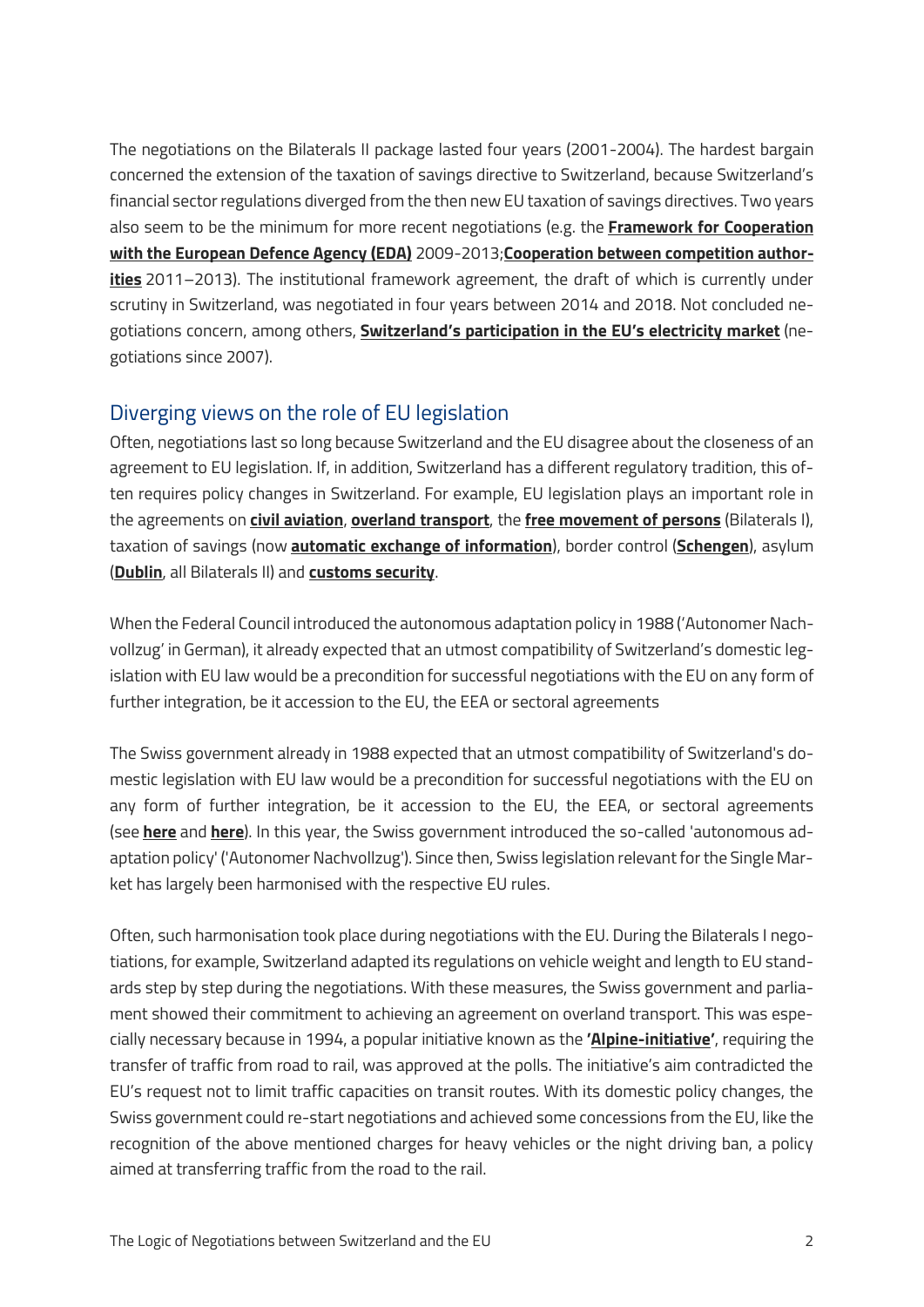The negotiations on the Bilaterals II package lasted four years (2001-2004). The hardest bargain concerned the extension of the taxation of savings directive to Switzerland, because Switzerland's financial sector regulations diverged from the then new EU taxation of savings directives. Two years also seem to be the minimum for more recent negotiations (e.g. the **[Framework for Cooperation](https://www.eda.admin.ch/dea/en/home/bilaterale-abkommen/ueberblick/bilaterale-abkommen-nach-2004/zusammenarbeit-eva.html)  [with the European Defence Agency \(EDA\)](https://www.eda.admin.ch/dea/en/home/bilaterale-abkommen/ueberblick/bilaterale-abkommen-nach-2004/zusammenarbeit-eva.html)** 2009-2013;**[Cooperation between competition author](https://www.eda.admin.ch/dea/en/home/bilaterale-abkommen/ueberblick/bilaterale-abkommen-nach-2004/wettbewerb.html)[ities](https://www.eda.admin.ch/dea/en/home/bilaterale-abkommen/ueberblick/bilaterale-abkommen-nach-2004/wettbewerb.html)** 2011–2013). The institutional framework agreement, the draft of which is currently under scrutiny in Switzerland, was negotiated in four years between 2014 and 2018. Not concluded negotiations concern, among others, **[Switzerland's participation in the EU's electricity market](https://www.eda.admin.ch/dea/en/home/verhandlungen-offene-themen/verhandlungen/strom-energie.html)** (negotiations since 2007).

### Diverging views on the role of EU legislation

Often, negotiations last so long because Switzerland and the EU disagree about the closeness of an agreement to EU legislation. If, in addition, Switzerland has a different regulatory tradition, this often requires policy changes in Switzerland. For example, EU legislation plays an important role in the agreements on **[civil aviation](https://www.eda.admin.ch/dea/en/home/bilaterale-abkommen/ueberblick/bilaterale-abkommen-1/luftverkehr.html)**, **[overland transport](https://www.eda.admin.ch/dea/en/home/bilaterale-abkommen/ueberblick/bilaterale-abkommen-1/landverkehr.html)**, the **[free movement of persons](https://www.eda.admin.ch/dea/en/home/bilaterale-abkommen/ueberblick/bilaterale-abkommen-1/personenfreizuegigkeit.html)** (Bilaterals I), taxation of savings (now **[automatic exchange of information](https://www.eda.admin.ch/dea/en/home/bilaterale-abkommen/ueberblick/bilaterale-abkommen-2/zinsbesteuerung.html)**), border control (**[Schengen](https://www.eda.admin.ch/dea/en/home/bilaterale-abkommen/ueberblick/bilaterale-abkommen-2/schengen.html)**), asylum (**[Dublin](https://www.eda.admin.ch/dea/en/home/bilaterale-abkommen/ueberblick/bilaterale-abkommen-2/schengen.html)**, all Bilaterals II) and **[customs security](https://www.eda.admin.ch/dea/en/home/bilaterale-abkommen/ueberblick/bilaterale-abkommen-bis-1999/zollerleichterungen-zollsicherheit.html)**.

When the Federal Council introduced the autonomous adaptation policy in 1988 ('Autonomer Nachvollzug' in German), it already expected that an utmost compatibility of Switzerland's domestic legislation with EU law would be a precondition for successful negotiations with the EU on any form of further integration, be it accession to the EU, the EEA or sectoral agreements

The Swiss government already in 1988 expected that an utmost compatibility of Switzerland's domestic legislation with EU law would be a precondition for successful negotiations with the EU on any form of further integration, be it accession to the EU, the EEA, or sectoral agreements (see **[here](https://www.amtsdruckschriften.bar.admin.ch/viewOrigDoc.do?id=10052538)** and **[here](https://www.amtsdruckschriften.bar.admin.ch/viewOrigDoc.do?id=10050830)**). In this year, the Swiss government introduced the so-called 'autonomous adaptation policy' ('Autonomer Nachvollzug'). Since then, Swiss legislation relevant for the Single Market has largely been harmonised with the respective EU rules.

Often, such harmonisation took place during negotiations with the EU. During the Bilaterals I negotiations, for example, Switzerland adapted its regulations on vehicle weight and length to EU standards step by step during the negotiations. With these measures, the Swiss government and parliament showed their commitment to achieving an agreement on overland transport. This was especially necessary because in 1994, a popular initiative known as the **'[Alpine-initiative](http://www.alpeninitiative.ch/alpine-initiative.html)'**, requiring the transfer of traffic from road to rail, was approved at the polls. The initiative's aim contradicted the EU's request not to limit traffic capacities on transit routes. With its domestic policy changes, the Swiss government could re-start negotiations and achieved some concessions from the EU, like the recognition of the above mentioned charges for heavy vehicles or the night driving ban, a policy aimed at transferring traffic from the road to the rail.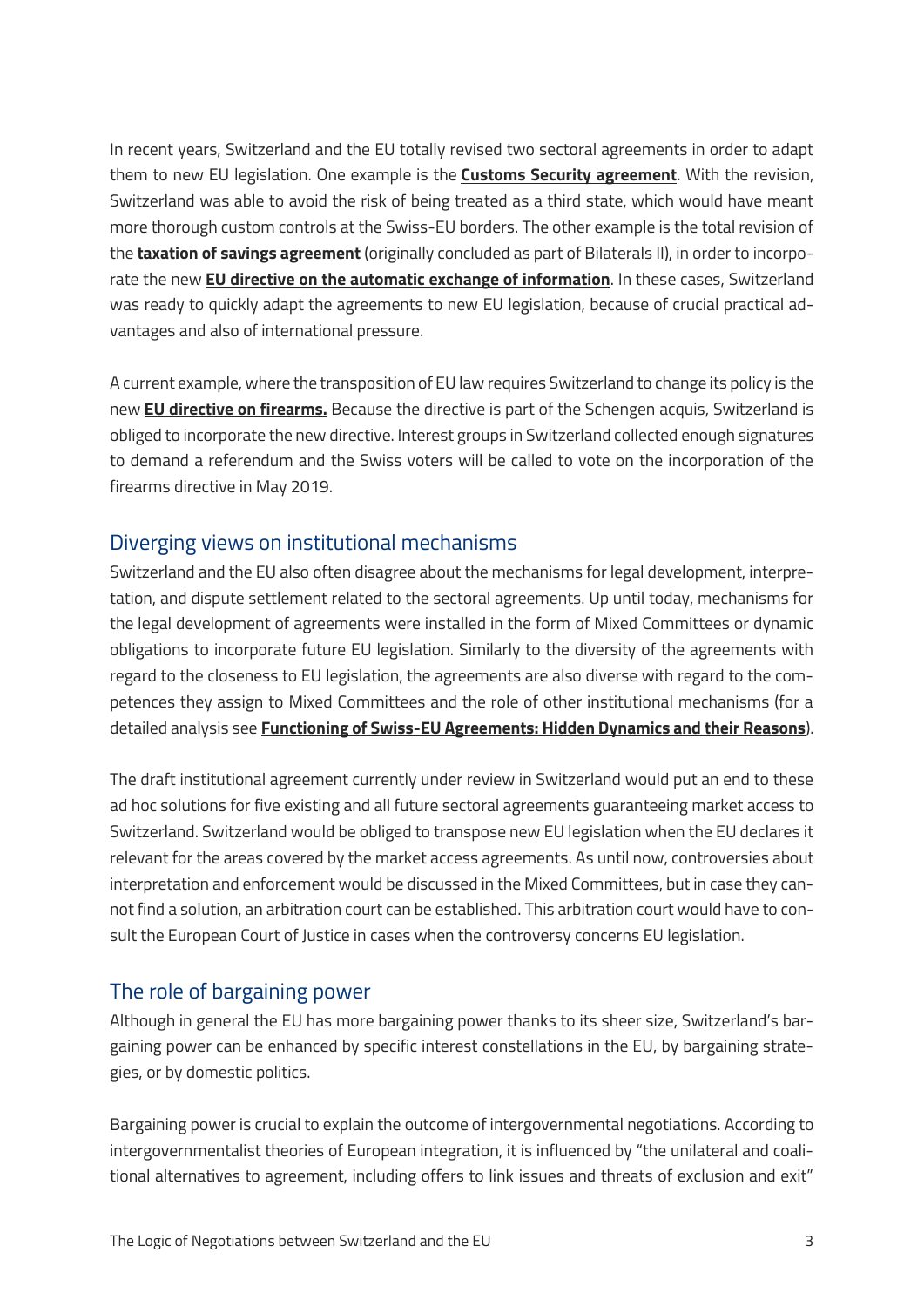In recent years, Switzerland and the EU totally revised two sectoral agreements in order to adapt them to new EU legislation. One example is the **[Customs Security agreement](https://www.eda.admin.ch/dea/en/home/bilaterale-abkommen/ueberblick/bilaterale-abkommen-bis1999/zollerleichterungen-zollsicherheit.html)**. With the revision, Switzerland was able to avoid the risk of being treated as a third state, which would have meant more thorough custom controls at the Swiss-EU borders. The other example is the total revision of the **[taxation of savings agreement](https://www.eda.admin.ch/dea/en/home/bilaterale-abkommen/ueberblick/bilaterale-abkommen-2/zinsbesteuerung.html)** (originally concluded as part of Bilaterals II), in order to incorporate the new **[EU directive on the automatic exchange of information](https://ec.europa.eu/taxation_customs/individuals/personal-taxation/taxation-savings-income/repeal-savings-directive-line-with-international-eu-developments_en)**. In these cases, Switzerland was ready to quickly adapt the agreements to new EU legislation, because of crucial practical advantages and also of international pressure.

A current example, where the transposition of EU law requires Switzerland to change its policy is the new **[EU directive on firearms.](https://eur-lex.europa.eu/legal-content/EN/TXT/?uri=uriserv:OJ.L_.2017.137.01.0022.01.ENG)** Because the directive is part of the Schengen acquis, Switzerland is obliged to incorporate the new directive. Interest groups in Switzerland collected enough signatures to demand a referendum and the Swiss voters will be called to vote on the incorporation of the firearms directive in May 2019.

#### Diverging views on institutional mechanisms

Switzerland and the EU also often disagree about the mechanisms for legal development, interpretation, and dispute settlement related to the sectoral agreements. Up until today, mechanisms for the legal development of agreements were installed in the form of Mixed Committees or dynamic obligations to incorporate future EU legislation. Similarly to the diversity of the agreements with regard to the closeness to EU legislation, the agreements are also diverse with regard to the competences they assign to Mixed Committees and the role of other institutional mechanisms (for a detailed analysis see **[Functioning of Swiss-EU Agreements: Hidden Dynamics and their Reasons](https://www.efta-studies.org/swiss-eu-functioning-of-agreements)**).

The draft institutional agreement currently under review in Switzerland would put an end to these ad hoc solutions for five existing and all future sectoral agreements guaranteeing market access to Switzerland. Switzerland would be obliged to transpose new EU legislation when the EU declares it relevant for the areas covered by the market access agreements. As until now, controversies about interpretation and enforcement would be discussed in the Mixed Committees, but in case they cannot find a solution, an arbitration court can be established. This arbitration court would have to consult the European Court of Justice in cases when the controversy concerns EU legislation.

#### The role of bargaining power

Although in general the EU has more bargaining power thanks to its sheer size, Switzerland's bargaining power can be enhanced by specific interest constellations in the EU, by bargaining strategies, or by domestic politics.

Bargaining power is crucial to explain the outcome of intergovernmental negotiations. According to intergovernmentalist theories of European integration, it is influenced by "the unilateral and coalitional alternatives to agreement, including offers to link issues and threats of exclusion and exit"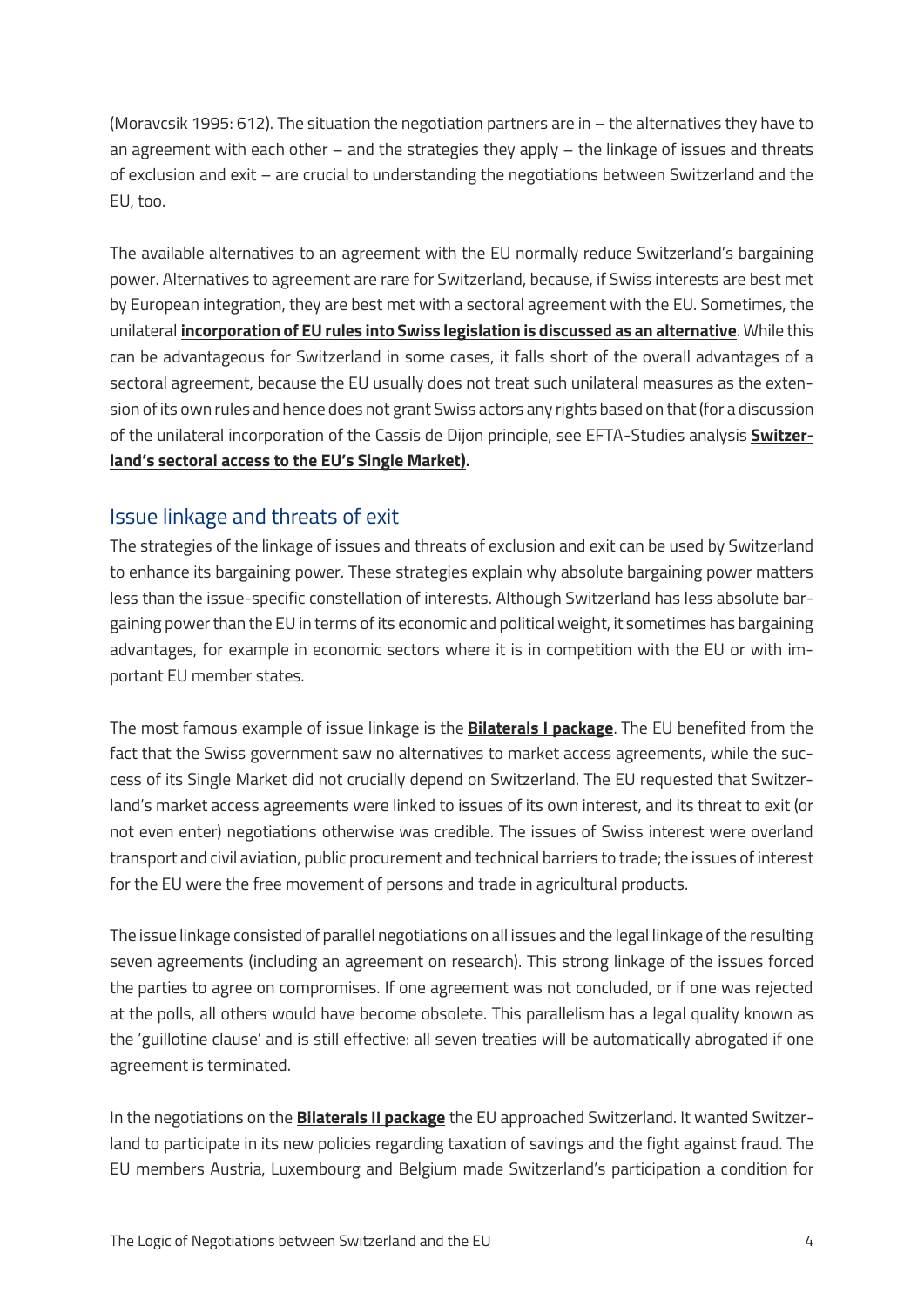(Moravcsik 1995: 612). The situation the negotiation partners are in – the alternatives they have to an agreement with each other – and the strategies they apply – the linkage of issues and threats of exclusion and exit – are crucial to understanding the negotiations between Switzerland and the EU, too.

The available alternatives to an agreement with the EU normally reduce Switzerland's bargaining power. Alternatives to agreement are rare for Switzerland, because, if Swiss interests are best met by European integration, they are best met with a sectoral agreement with the EU. Sometimes, the unilateral **[incorporation of EU rules into Swiss legislation is discussed as an alternative](http://www.nzz.ch/meinung/debatte/warum-der-bilaterale-weg-nicht-am-ende-ist-1.17960285)**. While this can be advantageous for Switzerland in some cases, it falls short of the overall advantages of a sectoral agreement, because the EU usually does not treat such unilateral measures as the extension of its own rules and hence does not grant Swiss actors any rights based on that (for a discussion of the unilateral incorporation of the Cassis de Dijon principle, see EFTA-Studies analysis **[Switzer](https://www.efta-studies.org/swiss-eu-sectoral-acces)[land's sectoral access to](https://www.efta-studies.org/swiss-eu-sectoral-acces) the EU's Single Market).**

#### Issue linkage and threats of exit

The strategies of the linkage of issues and threats of exclusion and exit can be used by Switzerland to enhance its bargaining power. These strategies explain why absolute bargaining power matters less than the issue-specific constellation of interests. Although Switzerland has less absolute bargaining power than the EU in terms of its economic and political weight, it sometimes has bargaining advantages, for example in economic sectors where it is in competition with the EU or with important EU member states.

The most famous example of issue linkage is the **[Bilaterals I package](https://www.eda.admin.ch/dea/en/home/bilaterale-abkommen/ueberblick/bilaterale-abkommen-1.html)**. The EU benefited from the fact that the Swiss government saw no alternatives to market access agreements, while the success of its Single Market did not crucially depend on Switzerland. The EU requested that Switzerland's market access agreements were linked to issues of its own interest, and its threat to exit (or not even enter) negotiations otherwise was credible. The issues of Swiss interest were overland transport and civil aviation, public procurement and technical barriers to trade; the issues of interest for the EU were the free movement of persons and trade in agricultural products.

The issue linkage consisted of parallel negotiations on all issues and the legal linkage of the resulting seven agreements (including an agreement on research). This strong linkage of the issues forced the parties to agree on compromises. If one agreement was not concluded, or if one was rejected at the polls, all others would have become obsolete. This parallelism has a legal quality known as the 'guillotine clause' and is still effective: all seven treaties will be automatically abrogated if one agreement is terminated.

In the negotiations on the **[Bilaterals II package](https://www.eda.admin.ch/dea/en/%20home/bilaterale-abkommen/ueberblick/bilaterale-abkommen-2.html)** the EU approached Switzerland. It wanted Switzerland to participate in its new policies regarding taxation of savings and the fight against fraud. The EU members Austria, Luxembourg and Belgium made Switzerland's participation a condition for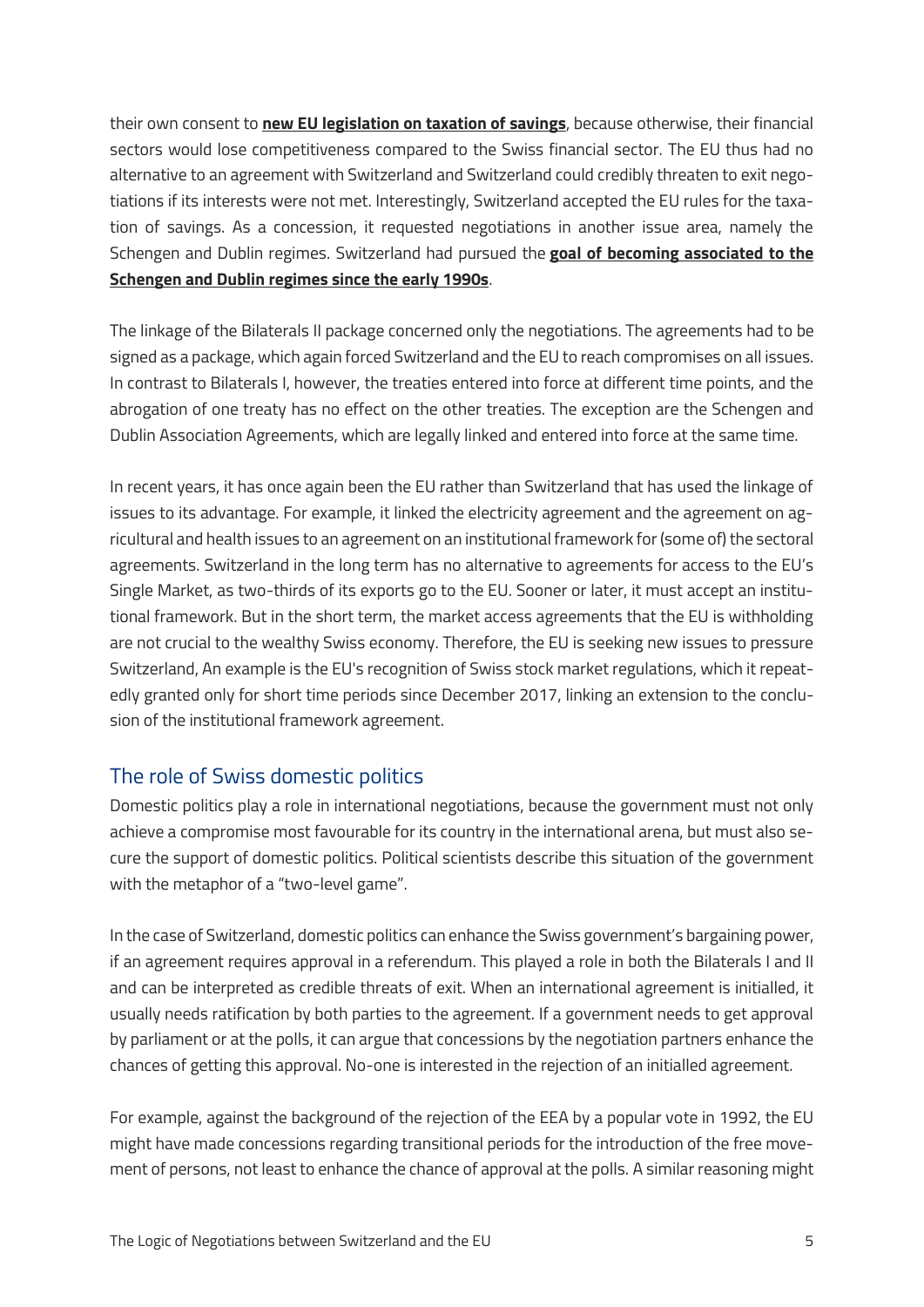their own consent to **[new EU legislation on taxation of savings](https://eur-lex.europa.eu/legal-content/EN/TXT/?qid=1531805555723&%20uri=CELEX:32003L0048)**, because otherwise, their financial sectors would lose competitiveness compared to the Swiss financial sector. The EU thus had no alternative to an agreement with Switzerland and Switzerland could credibly threaten to exit negotiations if its interests were not met. Interestingly, Switzerland accepted the EU rules for the taxation of savings. As a concession, it requested negotiations in another issue area, namely the Schengen and Dublin regimes. Switzerland had pursued the **[goal of becoming associated to the](https://www.eda.admin.ch/dam/dea/de/documents/berichte_botschaften/ap-90_de.pdf)  [Schengen and Dublin regimes since the early 1990s](https://www.eda.admin.ch/dam/dea/de/documents/berichte_botschaften/ap-90_de.pdf)**.

The linkage of the Bilaterals II package concerned only the negotiations. The agreements had to be signed as a package, which again forced Switzerland and the EU to reach compromises on all issues. In contrast to Bilaterals I, however, the treaties entered into force at different time points, and the abrogation of one treaty has no effect on the other treaties. The exception are the Schengen and Dublin Association Agreements, which are legally linked and entered into force at the same time.

In recent years, it has once again been the EU rather than Switzerland that has used the linkage of issues to its advantage. For example, it linked the electricity agreement and the agreement on agricultural and health issues to an agreement on an institutional framework for (some of) the sectoral agreements. Switzerland in the long term has no alternative to agreements for access to the EU's Single Market, as two-thirds of its exports go to the EU. Sooner or later, it must accept an institutional framework. But in the short term, the market access agreements that the EU is withholding are not crucial to the wealthy Swiss economy. Therefore, the EU is seeking new issues to pressure Switzerland, An example is the EU's recognition of Swiss stock market regulations, which it repeatedly granted only for short time periods since December 2017, linking an extension to the conclusion of the institutional framework agreement.

## The role of Swiss domestic politics

Domestic politics play a role in international negotiations, because the government must not only achieve a compromise most favourable for its country in the international arena, but must also secure the support of domestic politics. Political scientists describe this situation of the government with the metaphor of a "two-level game".

In the case of Switzerland, domestic politics can enhance the Swiss government's bargaining power, if an agreement requires approval in a referendum. This played a role in both the Bilaterals I and II and can be interpreted as credible threats of exit. When an international agreement is initialled, it usually needs ratification by both parties to the agreement. If a government needs to get approval by parliament or at the polls, it can argue that concessions by the negotiation partners enhance the chances of getting this approval. No-one is interested in the rejection of an initialled agreement.

For example, against the background of the rejection of the EEA by a popular vote in 1992, the EU might have made concessions regarding transitional periods for the introduction of the free movement of persons, not least to enhance the chance of approval at the polls. A similar reasoning might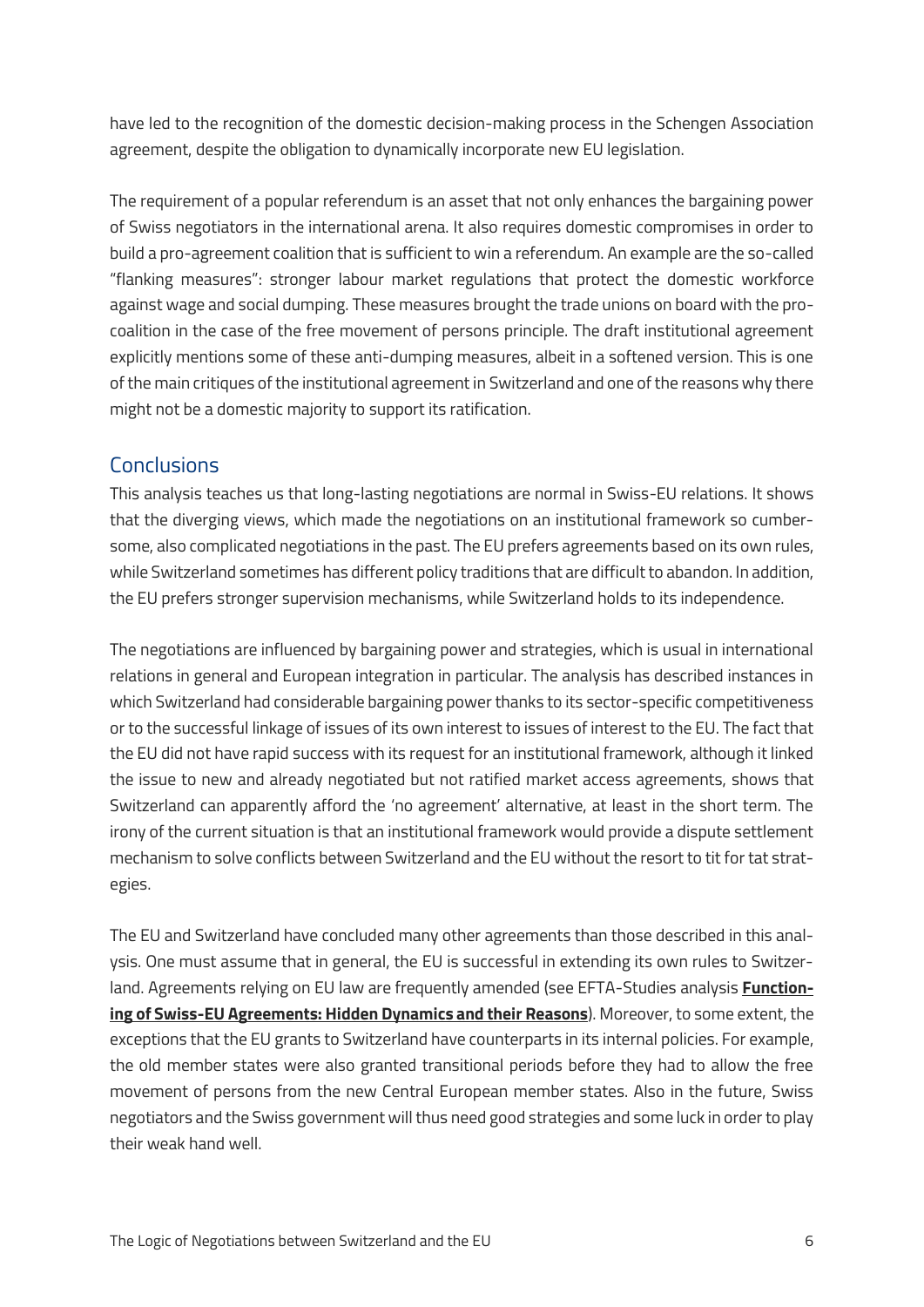have led to the recognition of the domestic decision-making process in the Schengen Association agreement, despite the obligation to dynamically incorporate new EU legislation.

The requirement of a popular referendum is an asset that not only enhances the bargaining power of Swiss negotiators in the international arena. It also requires domestic compromises in order to build a pro-agreement coalition that is sufficient to win a referendum. An example are the so-called "flanking measures": stronger labour market regulations that protect the domestic workforce against wage and social dumping. These measures brought the trade unions on board with the procoalition in the case of the free movement of persons principle. The draft institutional agreement explicitly mentions some of these anti-dumping measures, albeit in a softened version. This is one of the main critiques of the institutional agreement in Switzerland and one of the reasons why there might not be a domestic majority to support its ratification.

#### **Conclusions**

This analysis teaches us that long-lasting negotiations are normal in Swiss-EU relations. It shows that the diverging views, which made the negotiations on an institutional framework so cumbersome, also complicated negotiations in the past. The EU prefers agreements based on its own rules, while Switzerland sometimes has different policy traditions that are difficult to abandon. In addition, the EU prefers stronger supervision mechanisms, while Switzerland holds to its independence.

The negotiations are influenced by bargaining power and strategies, which is usual in international relations in general and European integration in particular. The analysis has described instances in which Switzerland had considerable bargaining power thanks to its sector-specific competitiveness or to the successful linkage of issues of its own interest to issues of interest to the EU. The fact that the EU did not have rapid success with its request for an institutional framework, although it linked the issue to new and already negotiated but not ratified market access agreements, shows that Switzerland can apparently afford the 'no agreement' alternative, at least in the short term. The irony of the current situation is that an institutional framework would provide a dispute settlement mechanism to solve conflicts between Switzerland and the EU without the resort to tit for tat strategies.

The EU and Switzerland have concluded many other agreements than those described in this analysis. One must assume that in general, the EU is successful in extending its own rules to Switzerland. Agreements relying on EU law are frequently amended (see EFTA-Studies analysis **[Function](https://www.efta-studies.org/swiss-eu-functioning-of-agreements)[ing of Swiss-EU Agreements: Hidden Dynamics and their Reasons](https://www.efta-studies.org/swiss-eu-functioning-of-agreements)**). Moreover, to some extent, the exceptions that the EU grants to Switzerland have counterparts in its internal policies. For example, the old member states were also granted transitional periods before they had to allow the free movement of persons from the new Central European member states. Also in the future, Swiss negotiators and the Swiss government will thus need good strategies and some luck in order to play their weak hand well.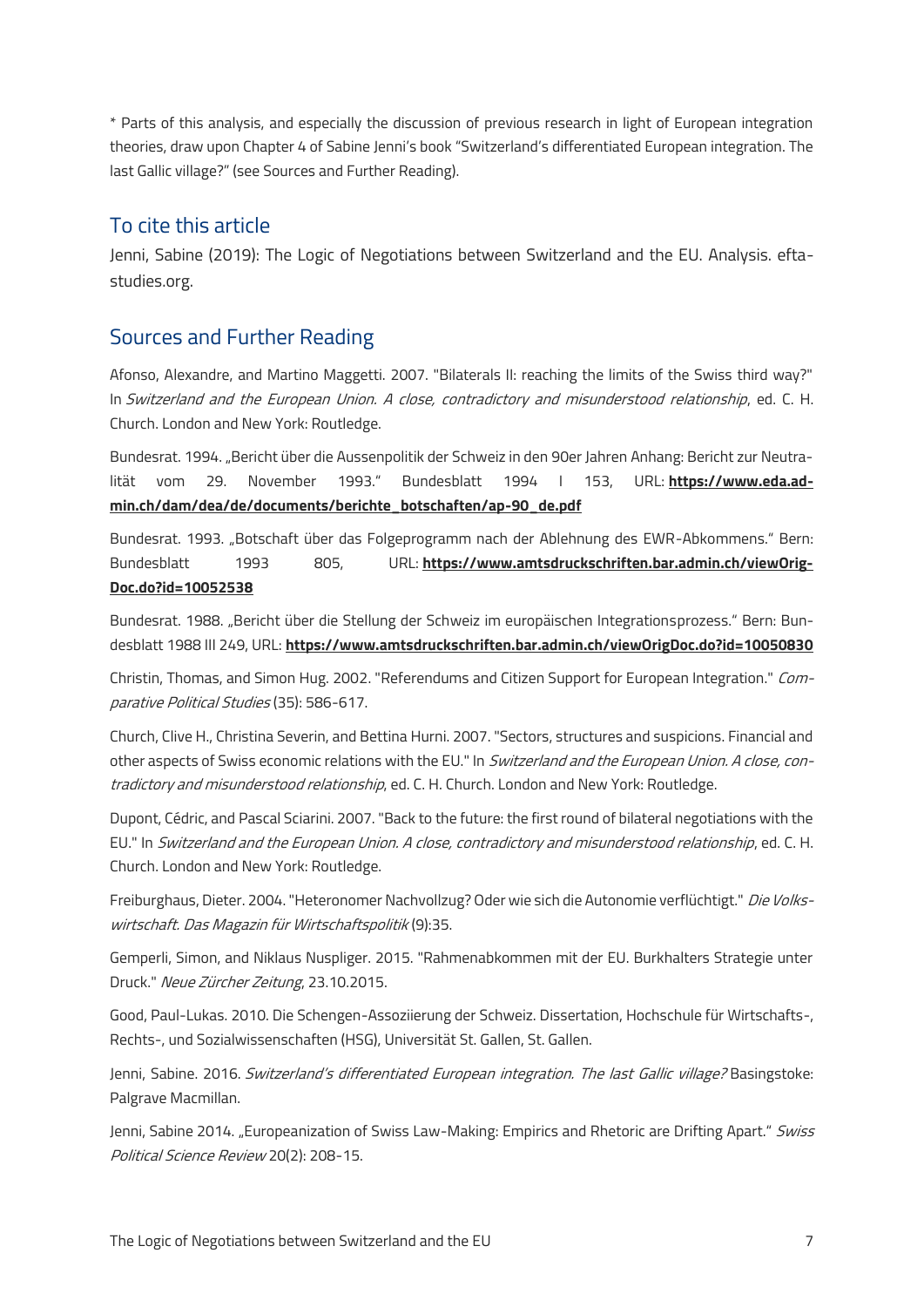\* Parts of this analysis, and especially the discussion of previous research in light of European integration theories, draw upon Chapter 4 of Sabine Jenni's book "Switzerland's differentiated European integration. The last Gallic village?" (see Sources and Further Reading).

#### To cite this article

Jenni, Sabine (2019): The Logic of Negotiations between Switzerland and the EU. Analysis. eftastudies.org.

#### Sources and Further Reading

Afonso, Alexandre, and Martino Maggetti. 2007. "Bilaterals II: reaching the limits of the Swiss third way?" In Switzerland and the European Union. A close, contradictory and misunderstood relationship, ed. C. H. Church. London and New York: Routledge.

Bundesrat. 1994. "Bericht über die Aussenpolitik der Schweiz in den 90er Jahren Anhang: Bericht zur Neutralität vom 29. November 1993." Bundesblatt 1994 I 153, URL: **[https://www.eda.ad](https://www.eda.admin.ch/dam/dea/de/documents/berichte_botschaften/ap-90_de.pdf)[min.ch/dam/dea/de/documents/berichte\\_botschaften/ap-90\\_de.pdf](https://www.eda.admin.ch/dam/dea/de/documents/berichte_botschaften/ap-90_de.pdf)**

Bundesrat. 1993. "Botschaft über das Folgeprogramm nach der Ablehnung des EWR-Abkommens." Bern: Bundesblatt 1993 805, URL: **[https://www.amtsdruckschriften.bar.admin.ch/viewOrig-](https://www.amtsdruckschriften.bar.admin.ch/viewOrigDoc.do?id=10052538)[Doc.do?id=10052538](https://www.amtsdruckschriften.bar.admin.ch/viewOrigDoc.do?id=10052538)**

Bundesrat. 1988. "Bericht über die Stellung der Schweiz im europäischen Integrationsprozess." Bern: Bundesblatt 1988 III 249, URL: **<https://www.amtsdruckschriften.bar.admin.ch/viewOrigDoc.do?id=10050830>**

Christin, Thomas, and Simon Hug. 2002. "Referendums and Citizen Support for European Integration." Comparative Political Studies (35): 586-617.

Church, Clive H., Christina Severin, and Bettina Hurni. 2007. "Sectors, structures and suspicions. Financial and other aspects of Swiss economic relations with the EU." In Switzerland and the European Union. A close, contradictory and misunderstood relationship, ed. C. H. Church. London and New York: Routledge.

Dupont, Cédric, and Pascal Sciarini. 2007. "Back to the future: the first round of bilateral negotiations with the EU." In Switzerland and the European Union. A close, contradictory and misunderstood relationship, ed. C. H. Church. London and New York: Routledge.

Freiburghaus, Dieter. 2004. "Heteronomer Nachvollzug? Oder wie sich die Autonomie verflüchtigt." Die Volkswirtschaft. Das Magazin für Wirtschaftspolitik (9):35.

Gemperli, Simon, and Niklaus Nuspliger. 2015. "Rahmenabkommen mit der EU. Burkhalters Strategie unter Druck." Neue Zürcher Zeitung, 23.10.2015.

Good, Paul-Lukas. 2010. Die Schengen-Assoziierung der Schweiz. Dissertation, Hochschule für Wirtschafts-, Rechts-, und Sozialwissenschaften (HSG), Universität St. Gallen, St. Gallen.

Jenni, Sabine. 2016. Switzerland's differentiated European integration. The last Gallic village? Basingstoke: Palgrave Macmillan.

Jenni, Sabine 2014. "Europeanization of Swiss Law-Making: Empirics and Rhetoric are Drifting Apart." Swiss Political Science Review 20(2): 208-15.